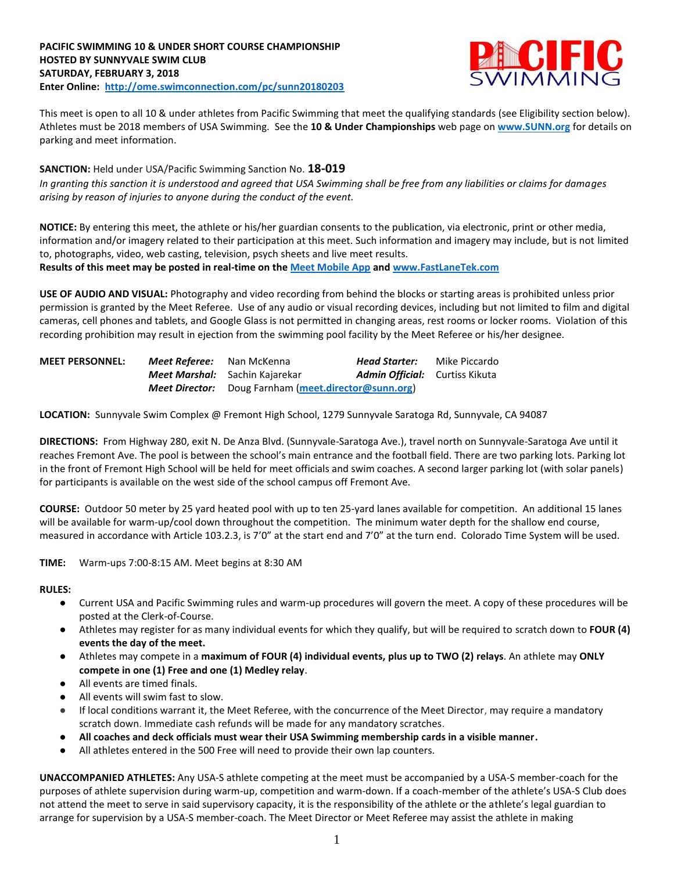

This meet is open to all 10 & under athletes from Pacific Swimming that meet the qualifying standards (see Eligibility section below). Athletes must be 2018 members of USA Swimming. See the **10 & Under Championships** web page on **[www.SUNN.org](https://www.teamunify.com/TabGeneric.jsp?_tabid_=78683&team=sunn)** for details on parking and meet information.

**SANCTION:** Held under USA/Pacific Swimming Sanction No. **18-019** *In granting this sanction it is understood and agreed that USA Swimming shall be free from any liabilities or claims for damages arising by reason of injuries to anyone during the conduct of the event.*

**NOTICE:** By entering this meet, the athlete or his/her guardian consents to the publication, via electronic, print or other media, information and/or imagery related to their participation at this meet. Such information and imagery may include, but is not limited to, photographs, video, web casting, television, psych sheets and live meet results. **Results of this meet may be posted in real-time on the [Meet Mobile App](http://www.active.com/mobile/meet-mobile-app) and [www.FastLaneTek.com](http://www.fastlanetek.com/)**

**USE OF AUDIO AND VISUAL:** Photography and video recording from behind the blocks or starting areas is prohibited unless prior permission is granted by the Meet Referee. Use of any audio or visual recording devices, including but not limited to film and digital cameras, cell phones and tablets, and Google Glass is not permitted in changing areas, rest rooms or locker rooms. Violation of this recording prohibition may result in ejection from the swimming pool facility by the Meet Referee or his/her designee.

| <b>MEET PERSONNEL:</b><br>Meet Referee: Nan McKenna |  |                                                             | <b>Head Starter:</b>                  | Mike Piccardo |  |  |
|-----------------------------------------------------|--|-------------------------------------------------------------|---------------------------------------|---------------|--|--|
|                                                     |  | Meet Marshal: Sachin Kajarekar                              | <b>Admin Official:</b> Curtiss Kikuta |               |  |  |
|                                                     |  | <b>Meet Director:</b> Doug Farnham (meet.director@sunn.org) |                                       |               |  |  |

**LOCATION:** Sunnyvale Swim Complex @ Fremont High School, 1279 Sunnyvale Saratoga Rd, Sunnyvale, CA 94087

**DIRECTIONS:** From Highway 280, exit N. De Anza Blvd. (Sunnyvale-Saratoga Ave.), travel north on Sunnyvale-Saratoga Ave until it reaches Fremont Ave. The pool is between the school's main entrance and the football field. There are two parking lots. Parking lot in the front of Fremont High School will be held for meet officials and swim coaches. A second larger parking lot (with solar panels) for participants is available on the west side of the school campus off Fremont Ave.

**COURSE:** Outdoor 50 meter by 25 yard heated pool with up to ten 25-yard lanes available for competition.An additional 15 lanes will be available for warm-up/cool down throughout the competition. The minimum water depth for the shallow end course, measured in accordance with Article 103.2.3, is 7'0" at the start end and 7'0" at the turn end. Colorado Time System will be used.

**TIME:** Warm-ups 7:00-8:15 AM. Meet begins at 8:30 AM

**RULES:**

- Current USA and Pacific Swimming rules and warm-up procedures will govern the meet. A copy of these procedures will be posted at the Clerk-of-Course.
- Athletes may register for as many individual events for which they qualify, but will be required to scratch down to **FOUR (4) events the day of the meet.**
- Athletes may compete in a **maximum of FOUR (4) individual events, plus up to TWO (2) relays**. An athlete may **ONLY compete in one (1) Free and one (1) Medley relay**.
- All events are timed finals.
- All events will swim fast to slow.
- If local conditions warrant it, the Meet Referee, with the concurrence of the Meet Director, may require a mandatory scratch down. Immediate cash refunds will be made for any mandatory scratches.
- **All coaches and deck officials must wear their USA Swimming membership cards in a visible manner.**
- All athletes entered in the 500 Free will need to provide their own lap counters.

**UNACCOMPANIED ATHLETES:** Any USA-S athlete competing at the meet must be accompanied by a USA-S member-coach for the purposes of athlete supervision during warm-up, competition and warm-down. If a coach-member of the athlete's USA-S Club does not attend the meet to serve in said supervisory capacity, it is the responsibility of the athlete or the athlete's legal guardian to arrange for supervision by a USA-S member-coach. The Meet Director or Meet Referee may assist the athlete in making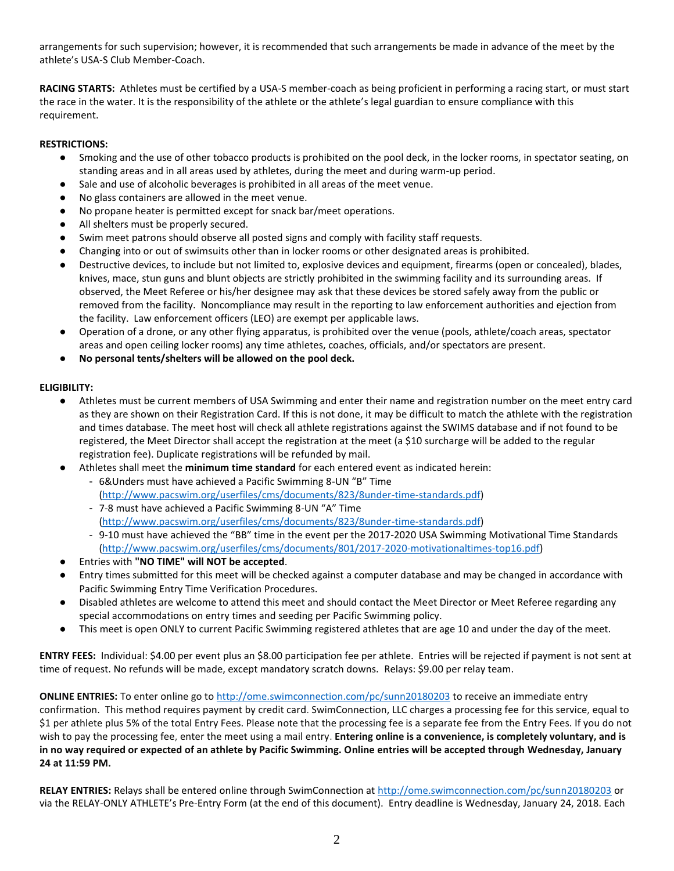arrangements for such supervision; however, it is recommended that such arrangements be made in advance of the meet by the athlete's USA-S Club Member-Coach.

**RACING STARTS:** Athletes must be certified by a USA-S member-coach as being proficient in performing a racing start, or must start the race in the water. It is the responsibility of the athlete or the athlete's legal guardian to ensure compliance with this requirement.

### **RESTRICTIONS:**

- Smoking and the use of other tobacco products is prohibited on the pool deck, in the locker rooms, in spectator seating, on standing areas and in all areas used by athletes, during the meet and during warm-up period.
- Sale and use of alcoholic beverages is prohibited in all areas of the meet venue.
- No glass containers are allowed in the meet venue.
- No propane heater is permitted except for snack bar/meet operations.
- All shelters must be properly secured.
- Swim meet patrons should observe all posted signs and comply with facility staff requests.
- Changing into or out of swimsuits other than in locker rooms or other designated areas is prohibited.
- Destructive devices, to include but not limited to, explosive devices and equipment, firearms (open or concealed), blades, knives, mace, stun guns and blunt objects are strictly prohibited in the swimming facility and its surrounding areas. If observed, the Meet Referee or his/her designee may ask that these devices be stored safely away from the public or removed from the facility. Noncompliance may result in the reporting to law enforcement authorities and ejection from the facility. Law enforcement officers (LEO) are exempt per applicable laws.
- Operation of a drone, or any other flying apparatus, is prohibited over the venue (pools, athlete/coach areas, spectator areas and open ceiling locker rooms) any time athletes, coaches, officials, and/or spectators are present.
- **No personal tents/shelters will be allowed on the pool deck.**

# **ELIGIBILITY:**

- Athletes must be current members of USA Swimming and enter their name and registration number on the meet entry card as they are shown on their Registration Card. If this is not done, it may be difficult to match the athlete with the registration and times database. The meet host will check all athlete registrations against the SWIMS database and if not found to be registered, the Meet Director shall accept the registration at the meet (a \$10 surcharge will be added to the regular registration fee). Duplicate registrations will be refunded by mail.
- Athletes shall meet the **minimum time standard** for each entered event as indicated herein:
	- 6&Unders must have achieved a Pacific Swimming 8-UN "B" Time [\(http://www.pacswim.org/userfiles/cms/documents/823/8under-time-standards.pdf\)](http://www.pacswim.org/userfiles/cms/documents/823/8under-time-standards.pdf)
	- 7-8 must have achieved a Pacific Swimming 8-UN "A" Time [\(http://www.pacswim.org/userfiles/cms/documents/823/8under-time-standards.pdf\)](http://www.pacswim.org/userfiles/cms/documents/823/8under-time-standards.pdf)
	- 9-10 must have achieved the "BB" time in the event per the 2017-2020 USA Swimming Motivational Time Standards [\(http://www.pacswim.org/userfiles/cms/documents/801/2017-2020-motivationaltimes-top16.pdf\)](http://www.pacswim.org/userfiles/cms/documents/801/2017-2020-motivationaltimes-top16.pdf)
- Entries with **"NO TIME" will NOT be accepted**.
- Entry times submitted for this meet will be checked against a computer database and may be changed in accordance with Pacific Swimming Entry Time Verification Procedures.
- Disabled athletes are welcome to attend this meet and should contact the Meet Director or Meet Referee regarding any special accommodations on entry times and seeding per Pacific Swimming policy.
- This meet is open ONLY to current Pacific Swimming registered athletes that are age 10 and under the day of the meet.

**ENTRY FEES:** Individual: \$4.00 per event plus an \$8.00 participation fee per athlete. Entries will be rejected if payment is not sent at time of request. No refunds will be made, except mandatory scratch downs. Relays: \$9.00 per relay team.

**ONLINE ENTRIES:** To enter online go t[o http://ome.swimconnection.com/pc/sunn20180203](http://ome.swimconnection.com/pc/sunn20180203) to receive an immediate entry confirmation. This method requires payment by credit card. SwimConnection, LLC charges a processing fee for this service, equal to \$1 per athlete plus 5% of the total Entry Fees. Please note that the processing fee is a separate fee from the Entry Fees. If you do not wish to pay the processing fee, enter the meet using a mail entry. **Entering online is a convenience, is completely voluntary, and is in no way required or expected of an athlete by Pacific Swimming. Online entries will be accepted through Wednesday, January 24 at 11:59 PM.** 

**RELAY ENTRIES:** Relays shall be entered online through SwimConnection at <http://ome.swimconnection.com/pc/sunn20180203> or via the RELAY-ONLY ATHLETE's Pre-Entry Form (at the end of this document). Entry deadline is Wednesday, January 24, 2018. Each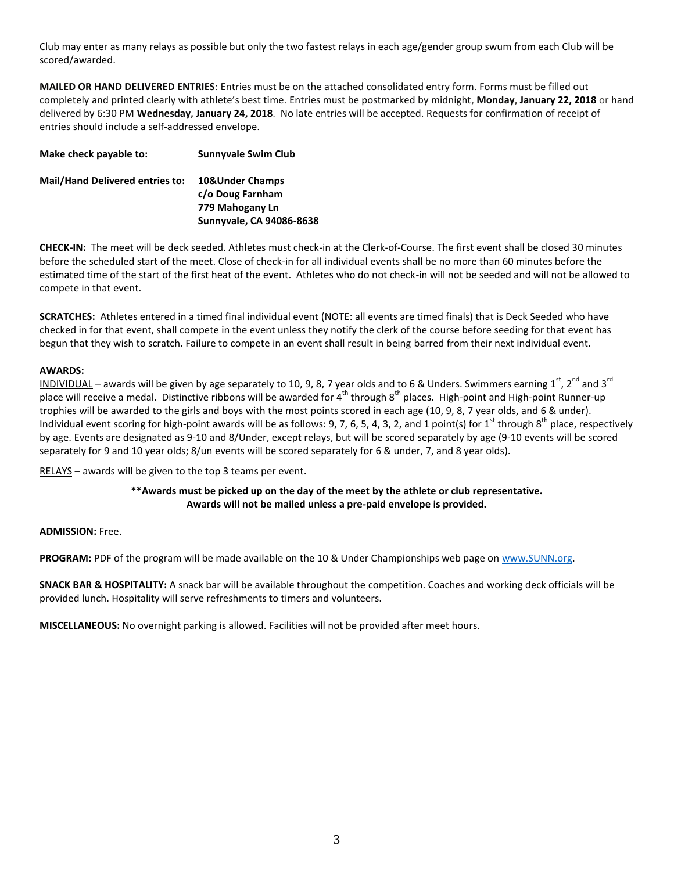Club may enter as many relays as possible but only the two fastest relays in each age/gender group swum from each Club will be scored/awarded.

**MAILED OR HAND DELIVERED ENTRIES**: Entries must be on the attached consolidated entry form. Forms must be filled out completely and printed clearly with athlete's best time. Entries must be postmarked by midnight, **Monday, January 22, 2018** or hand delivered by 6:30 PM **Wednesday, January 24, 2018**. No late entries will be accepted. Requests for confirmation of receipt of entries should include a self-addressed envelope.

| <b>Sunnyvale Swim Club</b>          |
|-------------------------------------|
| 10&Under Champs<br>c/o Doug Farnham |
| 779 Mahogany Ln                     |
| Sunnyvale, CA 94086-8638            |
|                                     |

**CHECK-IN:** The meet will be deck seeded. Athletes must check-in at the Clerk-of-Course. The first event shall be closed 30 minutes before the scheduled start of the meet. Close of check-in for all individual events shall be no more than 60 minutes before the estimated time of the start of the first heat of the event. Athletes who do not check-in will not be seeded and will not be allowed to compete in that event.

**SCRATCHES:** Athletes entered in a timed final individual event (NOTE: all events are timed finals) that is Deck Seeded who have checked in for that event, shall compete in the event unless they notify the clerk of the course before seeding for that event has begun that they wish to scratch. Failure to compete in an event shall result in being barred from their next individual event.

# **AWARDS:**

INDIVIDUAL – awards will be given by age separately to 10, 9, 8, 7 year olds and to 6 & Unders. Swimmers earning  $1^{\text{st}}$ ,  $2^{\text{nd}}$  and  $3^{\text{rd}}$ place will receive a medal. Distinctive ribbons will be awarded for  $4^{th}$  through  $8^{th}$  places. High-point and High-point Runner-up trophies will be awarded to the girls and boys with the most points scored in each age (10, 9, 8, 7 year olds, and 6 & under). Individual event scoring for high-point awards will be as follows: 9, 7, 6, 5, 4, 3, 2, and 1 point(s) for  $1<sup>st</sup>$  through  $8<sup>th</sup>$  place, respectively by age. Events are designated as 9-10 and 8/Under, except relays, but will be scored separately by age (9-10 events will be scored separately for 9 and 10 year olds; 8/un events will be scored separately for 6 & under, 7, and 8 year olds).

RELAYS - awards will be given to the top 3 teams per event.

### **\*\*Awards must be picked up on the day of the meet by the athlete or club representative. Awards will not be mailed unless a pre-paid envelope is provided.**

### **ADMISSION:** Free.

**PROGRAM:** PDF of the program will be made available on the 10 & Under Championships web page on [www.SUNN.org.](http://www.sunn.org/)

**SNACK BAR & HOSPITALITY:** A snack bar will be available throughout the competition. Coaches and working deck officials will be provided lunch. Hospitality will serve refreshments to timers and volunteers.

**MISCELLANEOUS:** No overnight parking is allowed. Facilities will not be provided after meet hours.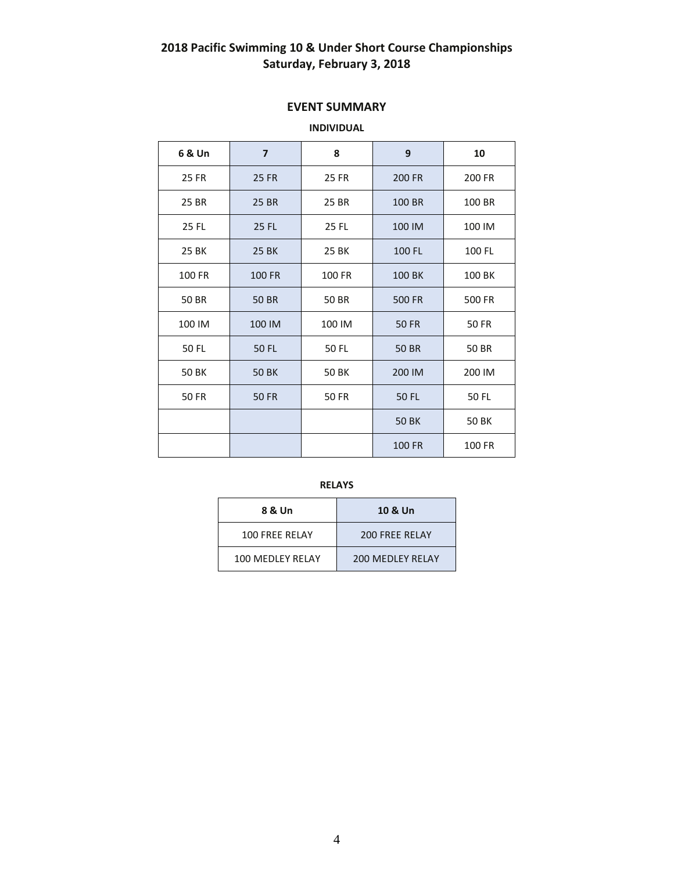# **2018 Pacific Swimming 10 & Under Short Course Championships Saturday, February 3, 2018**

# **EVENT SUMMARY**

# **INDIVIDUAL**

| 6 & Un                | $\overline{7}$          | 8                      | 9            | 10     |  |  |
|-----------------------|-------------------------|------------------------|--------------|--------|--|--|
| 25 FR                 | <b>25 FR</b>            | 25 FR                  | 200 FR       | 200 FR |  |  |
| 25 BR                 | 25 BR<br>25 BR          |                        | 100 BR       | 100 BR |  |  |
| 25 FL                 | 25 FL                   | <b>25 FL</b>           | 100 IM       | 100 IM |  |  |
| 25 BK                 | <b>25 BK</b>            | 25 BK                  | 100 FL       | 100 FL |  |  |
| 100 FR                | <b>100 FR</b><br>100 FR |                        | 100 BK       | 100 BK |  |  |
| 50 BR                 | <b>50 BR</b>            | 50 BR<br><b>500 FR</b> |              | 500 FR |  |  |
| 100 IM                | 100 IM                  | 100 IM                 | <b>50 FR</b> | 50 FR  |  |  |
| 50 FL<br><b>50 FL</b> |                         | 50 FL                  | 50 BR        |        |  |  |
| <b>50 BK</b>          | <b>50 BK</b>            | <b>50 BK</b>           | 200 IM       | 200 IM |  |  |
| <b>50 FR</b>          | <b>50 FR</b>            | <b>50 FR</b>           | 50 FL        | 50 FL  |  |  |
|                       |                         |                        | <b>50 BK</b> | 50 BK  |  |  |
|                       |                         |                        | 100 FR       | 100 FR |  |  |

**RELAYS**

| 8 & Un           | 10 & Un          |
|------------------|------------------|
| 100 FRFF RFLAY   | 200 FRFF RFLAY   |
| 100 MEDLEY RELAY | 200 MEDLEY RELAY |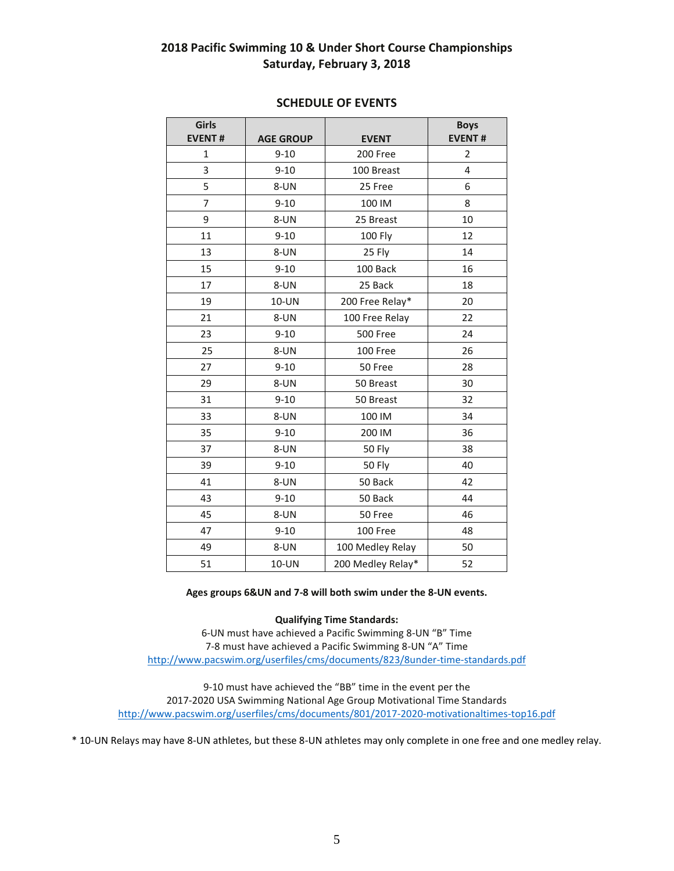# **Pacific Swimming 10 & Under Short Course Championships Saturday, February 3, 2018**

| Girls<br><b>EVENT#</b> | <b>AGE GROUP</b> | <b>EVENT</b>      | <b>Boys</b><br><b>EVENT#</b> |
|------------------------|------------------|-------------------|------------------------------|
| $\mathbf 1$            | $9 - 10$         | 200 Free          | $\overline{2}$               |
| 3                      | $9 - 10$         | 100 Breast        | 4                            |
| 5                      | 8-UN             | 25 Free           | 6                            |
| $\overline{7}$         | $9 - 10$         | 100 IM            | 8                            |
| 9                      | 8-UN             | 25 Breast         | 10                           |
| 11                     | $9 - 10$         | 100 Fly           | 12                           |
| 13                     | 8-UN             | 25 Fly            | 14                           |
| 15                     | $9 - 10$         | 100 Back          | 16                           |
| 17                     | 8-UN             | 25 Back           | 18                           |
| 19                     | 10-UN            | 200 Free Relay*   | 20                           |
| 21                     | 8-UN             | 100 Free Relay    | 22                           |
| 23                     | $9 - 10$         | 500 Free          | 24                           |
| 25                     | 8-UN             | 100 Free          | 26                           |
| 27                     | $9 - 10$         | 50 Free           | 28                           |
| 29                     | 8-UN             | 50 Breast         | 30                           |
| 31                     | $9 - 10$         | 50 Breast         | 32                           |
| 33                     | 8-UN             | 100 IM            | 34                           |
| 35                     | $9 - 10$         | 200 IM            | 36                           |
| 37                     | 8-UN             | 50 Fly            | 38                           |
| 39                     | $9 - 10$         | <b>50 Fly</b>     | 40                           |
| 41                     | 8-UN             | 50 Back           | 42                           |
| 43                     | $9 - 10$         | 50 Back           | 44                           |
| 45                     | 8-UN             | 50 Free           | 46                           |
| 47                     | $9 - 10$         | 100 Free          | 48                           |
| 49                     | 8-UN             | 100 Medley Relay  | 50                           |
| 51                     | 10-UN            | 200 Medley Relay* | 52                           |

# **SCHEDULE OF EVENTS**

#### **Ages groups 6&UN and 7-8 will both swim under the 8-UN events.**

### **Qualifying Time Standards:**

6-UN must have achieved a Pacific Swimming 8-UN "B" Time 7-8 must have achieved a Pacific Swimming 8-UN "A" Time <http://www.pacswim.org/userfiles/cms/documents/823/8under-time-standards.pdf>

9-10 must have achieved the "BB" time in the event per the 2017-2020 USA Swimming National Age Group Motivational Time Standards <http://www.pacswim.org/userfiles/cms/documents/801/2017-2020-motivationaltimes-top16.pdf>

\* 10-UN Relays may have 8-UN athletes, but these 8-UN athletes may only complete in one free and one medley relay.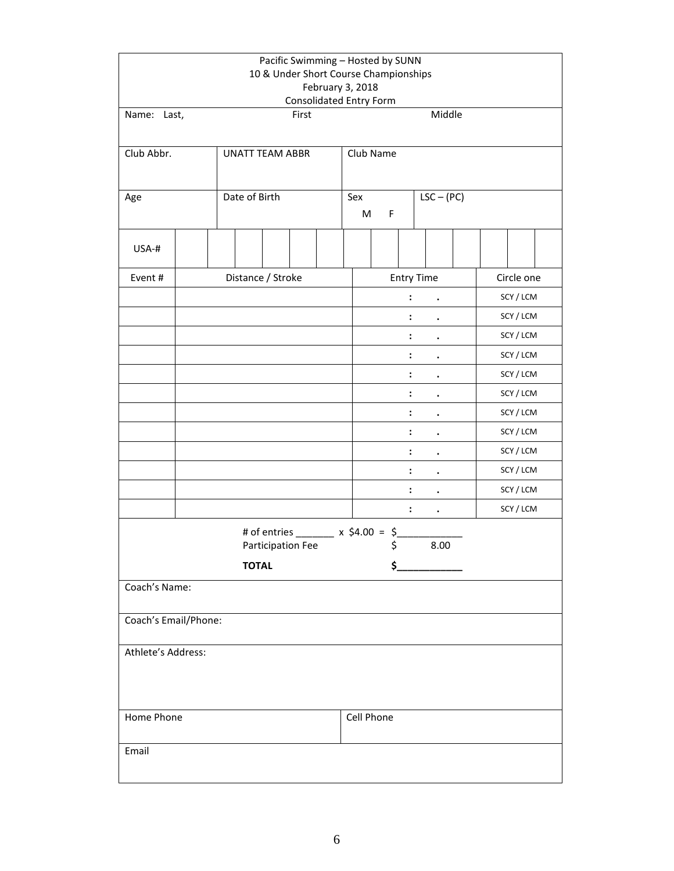|                      | Pacific Swimming - Hosted by SUNN<br>10 & Under Short Course Championships<br>February 3, 2018<br><b>Consolidated Entry Form</b> |                        |                   |       |  |                                      |                |                   |  |            |  |  |  |  |
|----------------------|----------------------------------------------------------------------------------------------------------------------------------|------------------------|-------------------|-------|--|--------------------------------------|----------------|-------------------|--|------------|--|--|--|--|
| Name: Last,          |                                                                                                                                  |                        |                   | First |  |                                      |                | Middle            |  |            |  |  |  |  |
|                      |                                                                                                                                  |                        |                   |       |  |                                      |                |                   |  |            |  |  |  |  |
| Club Abbr.           |                                                                                                                                  | <b>UNATT TEAM ABBR</b> |                   |       |  | Club Name                            |                |                   |  |            |  |  |  |  |
|                      |                                                                                                                                  |                        |                   |       |  |                                      |                |                   |  |            |  |  |  |  |
| Age                  |                                                                                                                                  | Date of Birth          |                   |       |  | Sex                                  |                | $LSC - (PC)$      |  |            |  |  |  |  |
|                      |                                                                                                                                  |                        |                   |       |  | M                                    | F              |                   |  |            |  |  |  |  |
| USA-#                |                                                                                                                                  |                        |                   |       |  |                                      |                |                   |  |            |  |  |  |  |
| Event#               |                                                                                                                                  | Distance / Stroke      |                   |       |  |                                      |                | <b>Entry Time</b> |  | Circle one |  |  |  |  |
|                      |                                                                                                                                  |                        |                   |       |  |                                      | :              |                   |  | SCY / LCM  |  |  |  |  |
|                      |                                                                                                                                  |                        |                   |       |  |                                      | :              |                   |  | SCY / LCM  |  |  |  |  |
|                      |                                                                                                                                  |                        |                   |       |  |                                      |                |                   |  | SCY / LCM  |  |  |  |  |
|                      |                                                                                                                                  |                        |                   |       |  |                                      | :              |                   |  | SCY / LCM  |  |  |  |  |
|                      |                                                                                                                                  |                        |                   |       |  |                                      | :              |                   |  | SCY / LCM  |  |  |  |  |
|                      |                                                                                                                                  |                        |                   |       |  |                                      |                |                   |  | SCY / LCM  |  |  |  |  |
|                      |                                                                                                                                  |                        |                   |       |  | $\ddot{\cdot}$                       |                |                   |  | SCY / LCM  |  |  |  |  |
|                      |                                                                                                                                  |                        |                   |       |  |                                      | :              |                   |  | SCY / LCM  |  |  |  |  |
|                      |                                                                                                                                  |                        |                   |       |  |                                      |                |                   |  | SCY / LCM  |  |  |  |  |
|                      |                                                                                                                                  |                        |                   |       |  | $\ddot{\cdot}$                       |                |                   |  | SCY / LCM  |  |  |  |  |
|                      |                                                                                                                                  |                        |                   |       |  |                                      | $\ddot{\cdot}$ | $\bullet$         |  | SCY / LCM  |  |  |  |  |
|                      |                                                                                                                                  |                        |                   |       |  |                                      | $\ddot{\cdot}$ | $\bullet$         |  | SCY / LCM  |  |  |  |  |
|                      |                                                                                                                                  |                        |                   |       |  | # of entries ________ x \$4.00 = \$_ |                |                   |  |            |  |  |  |  |
|                      |                                                                                                                                  |                        | Participation Fee |       |  |                                      | \$             | 8.00              |  |            |  |  |  |  |
|                      |                                                                                                                                  | <b>TOTAL</b>           |                   |       |  |                                      | \$_            |                   |  |            |  |  |  |  |
| Coach's Name:        |                                                                                                                                  |                        |                   |       |  |                                      |                |                   |  |            |  |  |  |  |
| Coach's Email/Phone: |                                                                                                                                  |                        |                   |       |  |                                      |                |                   |  |            |  |  |  |  |
| Athlete's Address:   |                                                                                                                                  |                        |                   |       |  |                                      |                |                   |  |            |  |  |  |  |
| Home Phone           |                                                                                                                                  |                        |                   |       |  |                                      | Cell Phone     |                   |  |            |  |  |  |  |
| Email                |                                                                                                                                  |                        |                   |       |  |                                      |                |                   |  |            |  |  |  |  |